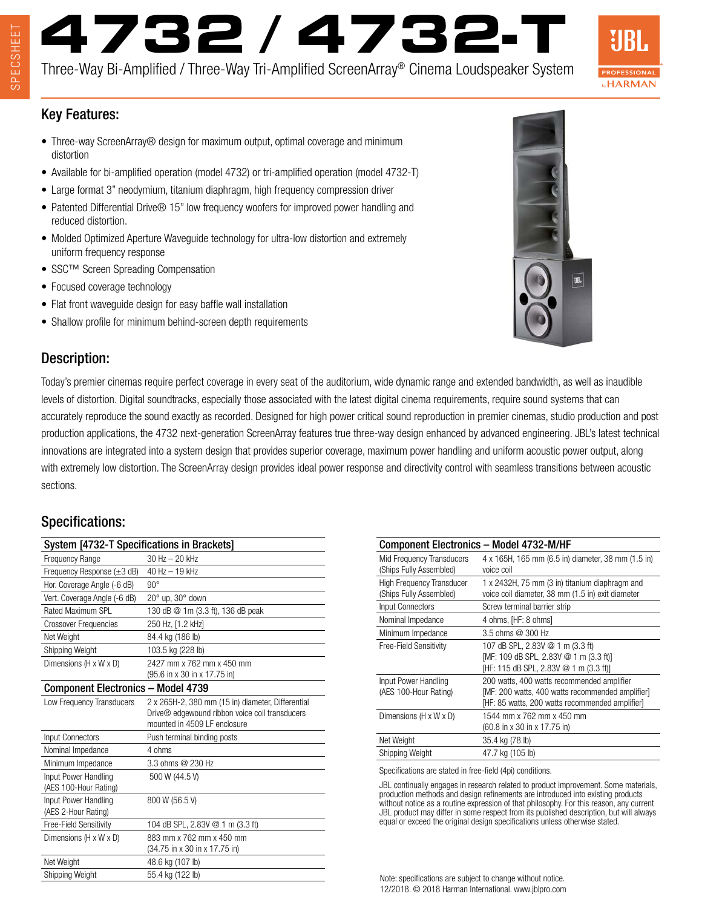# **4732 / 4732-T**

Three-Way Bi-Amplified / Three-Way Tri-Amplified ScreenArray® Cinema Loudspeaker System



#### Key Features:

- Three-way ScreenArray<sup>®</sup> design for maximum output, optimal coverage and minimum distortion
- Available for bi-amplified operation (model 4732) or tri-amplified operation (model 4732-T)
- Large format 3" neodymium, titanium diaphragm, high frequency compression driver
- Patented Differential Drive® 15" low frequency woofers for improved power handling and reduced distortion.
- Molded Optimized Aperture Waveguide technology for ultra-low distortion and extremely uniform frequency response
- SSC™ Screen Spreading Compensation
- Focused coverage technology
- Flat front waveguide design for easy baffle wall installation
- Shallow profile for minimum behind-screen depth requirements



Today's premier cinemas require perfect coverage in every seat of the auditorium, wide dynamic range and extended bandwidth, as well as inaudible levels of distortion. Digital soundtracks, especially those associated with the latest digital cinema requirements, require sound systems that can accurately reproduce the sound exactly as recorded. Designed for high power critical sound reproduction in premier cinemas, studio production and post production applications, the 4732 next-generation ScreenArray features true three-way design enhanced by advanced engineering. JBL's latest technical innovations are integrated into a system design that provides superior coverage, maximum power handling and uniform acoustic power output, along with extremely low distortion. The ScreenArray design provides ideal power response and directivity control with seamless transitions between acoustic

### Specifications:

sections.

| System [4732-T Specifications in Brackets]    |                                                            |
|-----------------------------------------------|------------------------------------------------------------|
| <b>Frequency Range</b>                        | 30 Hz - 20 kHz                                             |
| Frequency Response $(\pm 3 \text{ dB})$       | 40 Hz - 19 kHz                                             |
| Hor. Coverage Angle (-6 dB)                   | $90^{\circ}$                                               |
| Vert. Coverage Angle (-6 dB)                  | $20^\circ$ up, $30^\circ$ down                             |
| Rated Maximum SPL                             | 130 dB @ 1m (3.3 ft), 136 dB peak                          |
| <b>Crossover Frequencies</b>                  | 250 Hz, [1.2 kHz]                                          |
| Net Weight                                    | 84.4 kg (186 lb)                                           |
| Shipping Weight                               | 103.5 kg (228 lb)                                          |
| Dimensions (H x W x D)                        | 2427 mm x 762 mm x 450 mm                                  |
|                                               | (95.6 in x 30 in x 17.75 in)                               |
| <b>Component Electronics - Model 4739</b>     |                                                            |
| Low Frequency Transducers                     | 2 x 265H-2, 380 mm (15 in) diameter, Differential          |
|                                               | Drive <sup>®</sup> edgewound ribbon voice coil transducers |
|                                               | mounted in 4509 LF enclosure                               |
| <b>Input Connectors</b>                       | Push terminal binding posts                                |
| Nominal Impedance                             | 4 ohms                                                     |
| Minimum Impedance                             | 3.3 ohms @ 230 Hz                                          |
| Input Power Handling<br>(AES 100-Hour Rating) | 500 W (44.5 V)                                             |
| Input Power Handling                          | 800 W (56.5 V)                                             |
| (AES 2-Hour Rating)                           |                                                            |
| Free-Field Sensitivity                        | 104 dB SPL, 2.83V @ 1 m (3.3 ft)                           |
| Dimensions (H x W x D)                        | 883 mm x 762 mm x 450 mm                                   |
|                                               | (34.75 in x 30 in x 17.75 in)                              |
| Net Weight                                    | 48.6 kg (107 lb)                                           |
| Shipping Weight                               | 55.4 kg (122 lb)                                           |

| <b>Component Electronics - Model 4732-M/HF</b>              |                                                                                                                                                   |
|-------------------------------------------------------------|---------------------------------------------------------------------------------------------------------------------------------------------------|
| Mid Frequency Transducers<br>(Ships Fully Assembled)        | 4 x 165H, 165 mm (6.5 in) diameter, 38 mm (1.5 in)<br>voice coil                                                                                  |
| <b>High Frequency Transducer</b><br>(Ships Fully Assembled) | 1 x 2432H, 75 mm (3 in) titanium diaphragm and<br>voice coil diameter, 38 mm (1.5 in) exit diameter                                               |
| Input Connectors                                            | Screw terminal barrier strip                                                                                                                      |
| Nominal Impedance                                           | 4 ohms, [HF: 8 ohms]                                                                                                                              |
| Minimum Impedance                                           | 3.5 ohms @ 300 Hz                                                                                                                                 |
| Free-Field Sensitivity                                      | 107 dB SPL, 2.83V @ 1 m (3.3 ft)<br>[MF: 109 dB SPL, 2.83V @ 1 m (3.3 ft)]<br>[HF: 115 dB SPL, 2.83V @ 1 m (3.3 ft)]                              |
| Input Power Handling<br>(AES 100-Hour Rating)               | 200 watts, 400 watts recommended amplifier<br>[MF: 200 watts, 400 watts recommended amplifier]<br>[HF: 85 watts, 200 watts recommended amplifier] |
| Dimensions (H x W x D)                                      | 1544 mm x 762 mm x 450 mm<br>(60.8 in x 30 in x 17.75 in)                                                                                         |
| Net Weight                                                  | 35.4 kg (78 lb)                                                                                                                                   |
| Shipping Weight                                             | 47.7 kg (105 lb)                                                                                                                                  |

Specifications are stated in free-field (4pi) conditions.

JBL continually engages in research related to product improvement. Some materials, production methods and design refinements are introduced into existing products without notice as a routine expression of that philosophy. For this reason, any current JBL product may differ in some respect from its published description, but will always equal or exceed the original design specifications unless otherwise stated.

Note: specifications are subject to change without notice. 12/2018. © 2018 Harman International. www.jblpro.com